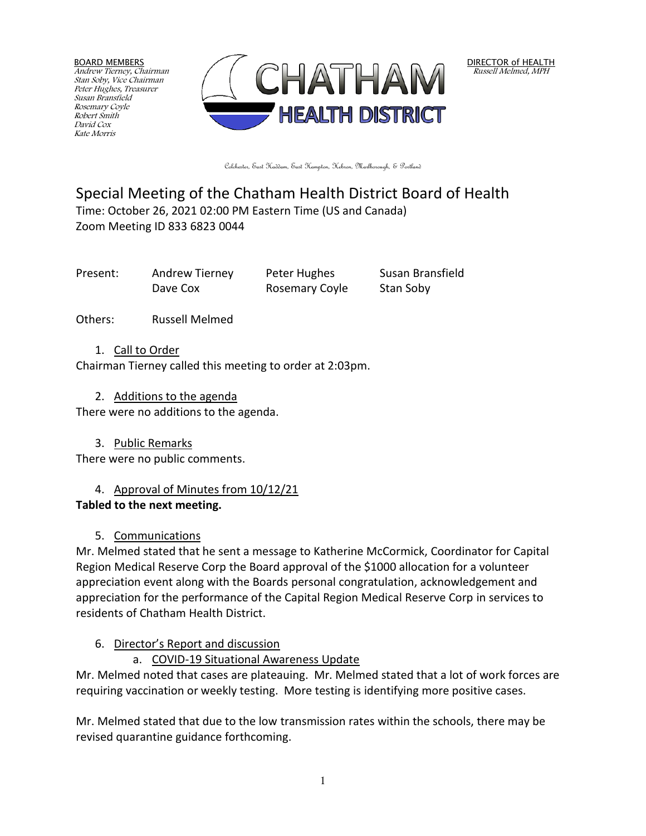BOARD MEMBERS Andrew Tierney, Chairman Stan Soby, Vice Chairman Peter Hughes, Treasurer Susan Bransfield Rosemary Coyle Robert Smith David Cox Kate Morris



DIRECTOR of HEALTH Russell Melmed, MPH

Colchester, East Haddam, East Hampton, Hebron, Marlborough, & Portland

## Special Meeting of the Chatham Health District Board of Health Time: October 26, 2021 02:00 PM Eastern Time (US and Canada)

Zoom Meeting ID 833 6823 0044

Present: Andrew Tierney Peter Hughes Susan Bransfield Dave Cox **Rosemary Coyle** Stan Soby

Others: Russell Melmed

1. Call to Order

Chairman Tierney called this meeting to order at 2:03pm.

2. Additions to the agenda

There were no additions to the agenda.

3. Public Remarks

There were no public comments.

# 4. Approval of Minutes from 10/12/21

## **Tabled to the next meeting.**

# 5. Communications

Mr. Melmed stated that he sent a message to Katherine McCormick, Coordinator for Capital Region Medical Reserve Corp the Board approval of the \$1000 allocation for a volunteer appreciation event along with the Boards personal congratulation, acknowledgement and appreciation for the performance of the Capital Region Medical Reserve Corp in services to residents of Chatham Health District.

# 6. Director's Report and discussion

## a. COVID-19 Situational Awareness Update

Mr. Melmed noted that cases are plateauing. Mr. Melmed stated that a lot of work forces are requiring vaccination or weekly testing. More testing is identifying more positive cases.

Mr. Melmed stated that due to the low transmission rates within the schools, there may be revised quarantine guidance forthcoming.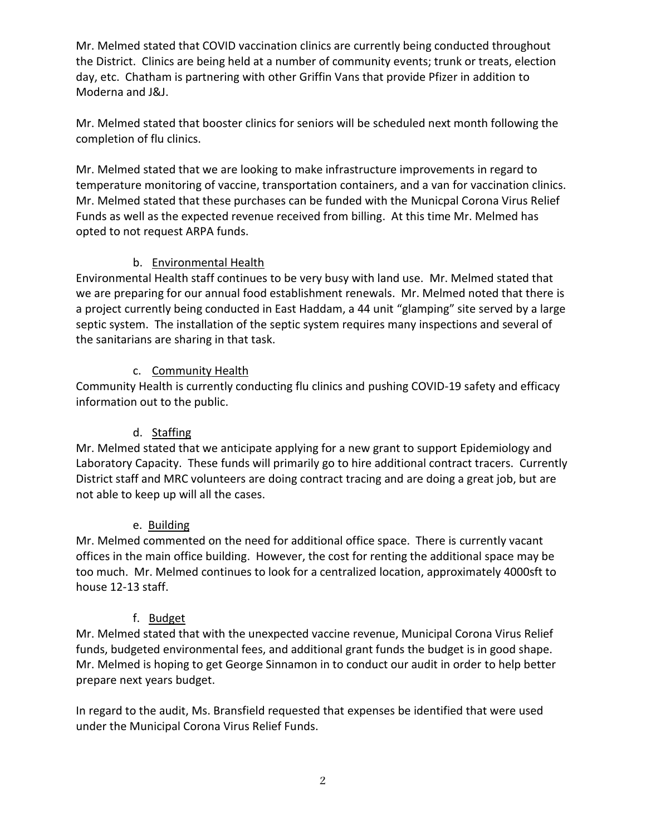Mr. Melmed stated that COVID vaccination clinics are currently being conducted throughout the District. Clinics are being held at a number of community events; trunk or treats, election day, etc. Chatham is partnering with other Griffin Vans that provide Pfizer in addition to Moderna and J&J.

Mr. Melmed stated that booster clinics for seniors will be scheduled next month following the completion of flu clinics.

Mr. Melmed stated that we are looking to make infrastructure improvements in regard to temperature monitoring of vaccine, transportation containers, and a van for vaccination clinics. Mr. Melmed stated that these purchases can be funded with the Municpal Corona Virus Relief Funds as well as the expected revenue received from billing. At this time Mr. Melmed has opted to not request ARPA funds.

#### b. Environmental Health

Environmental Health staff continues to be very busy with land use. Mr. Melmed stated that we are preparing for our annual food establishment renewals. Mr. Melmed noted that there is a project currently being conducted in East Haddam, a 44 unit "glamping" site served by a large septic system. The installation of the septic system requires many inspections and several of the sanitarians are sharing in that task.

#### c. Community Health

Community Health is currently conducting flu clinics and pushing COVID-19 safety and efficacy information out to the public.

#### d. Staffing

Mr. Melmed stated that we anticipate applying for a new grant to support Epidemiology and Laboratory Capacity. These funds will primarily go to hire additional contract tracers. Currently District staff and MRC volunteers are doing contract tracing and are doing a great job, but are not able to keep up will all the cases.

#### e. Building

Mr. Melmed commented on the need for additional office space. There is currently vacant offices in the main office building. However, the cost for renting the additional space may be too much. Mr. Melmed continues to look for a centralized location, approximately 4000sft to house 12-13 staff.

#### f. Budget

Mr. Melmed stated that with the unexpected vaccine revenue, Municipal Corona Virus Relief funds, budgeted environmental fees, and additional grant funds the budget is in good shape. Mr. Melmed is hoping to get George Sinnamon in to conduct our audit in order to help better prepare next years budget.

In regard to the audit, Ms. Bransfield requested that expenses be identified that were used under the Municipal Corona Virus Relief Funds.